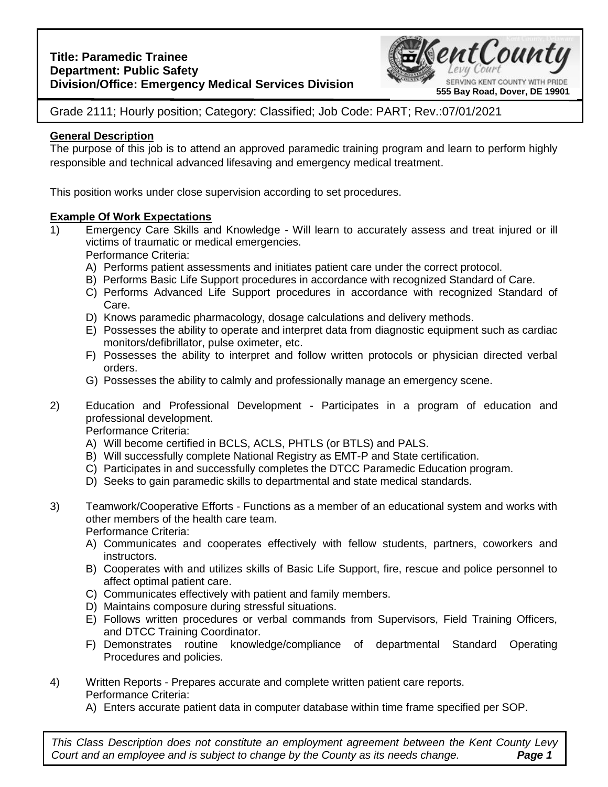

Grade 2111; Hourly position; Category: Classified; Job Code: PART; Rev.:07/01/2021

# **General Description**

The purpose of this job is to attend an approved paramedic training program and learn to perform highly responsible and technical advanced lifesaving and emergency medical treatment.

This position works under close supervision according to set procedures.

# **Example Of Work Expectations**

- 1) Emergency Care Skills and Knowledge Will learn to accurately assess and treat injured or ill victims of traumatic or medical emergencies. Performance Criteria:
	- A) Performs patient assessments and initiates patient care under the correct protocol.
	- B) Performs Basic Life Support procedures in accordance with recognized Standard of Care.
	- C) Performs Advanced Life Support procedures in accordance with recognized Standard of Care.
	- D) Knows paramedic pharmacology, dosage calculations and delivery methods.
	- E) Possesses the ability to operate and interpret data from diagnostic equipment such as cardiac monitors/defibrillator, pulse oximeter, etc.
	- F) Possesses the ability to interpret and follow written protocols or physician directed verbal orders.
	- G) Possesses the ability to calmly and professionally manage an emergency scene.
- 2) Education and Professional Development Participates in a program of education and professional development.

Performance Criteria:

- A) Will become certified in BCLS, ACLS, PHTLS (or BTLS) and PALS.
- B) Will successfully complete National Registry as EMT-P and State certification.
- C) Participates in and successfully completes the DTCC Paramedic Education program.
- D) Seeks to gain paramedic skills to departmental and state medical standards.
- 3) Teamwork/Cooperative Efforts Functions as a member of an educational system and works with other members of the health care team. Performance Criteria:
	- A) Communicates and cooperates effectively with fellow students, partners, coworkers and instructors.
	- B) Cooperates with and utilizes skills of Basic Life Support, fire, rescue and police personnel to affect optimal patient care.
	- C) Communicates effectively with patient and family members.
	- D) Maintains composure during stressful situations.
	- E) Follows written procedures or verbal commands from Supervisors, Field Training Officers, and DTCC Training Coordinator.
	- F) Demonstrates routine knowledge/compliance of departmental Standard Operating Procedures and policies.
- 4) Written Reports Prepares accurate and complete written patient care reports. Performance Criteria:
	- A) Enters accurate patient data in computer database within time frame specified per SOP.

**Page 1** *This Class Description does not constitute an employment agreement between the Kent County Levy Court* and an employee and is subject to change by the County as its needs change.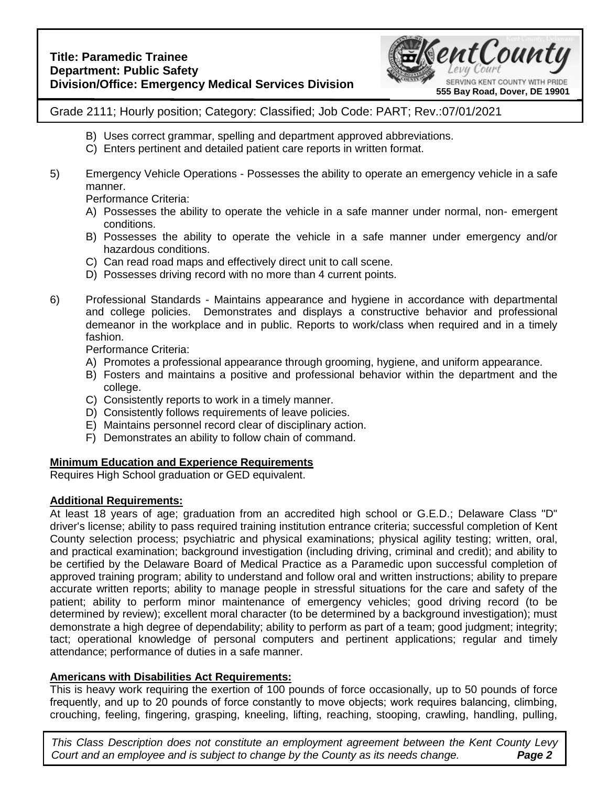

Grade 2111; Hourly position; Category: Classified; Job Code: PART; Rev.:07/01/2021

- B) Uses correct grammar, spelling and department approved abbreviations.
- C) Enters pertinent and detailed patient care reports in written format.
- 5) Emergency Vehicle Operations Possesses the ability to operate an emergency vehicle in a safe manner.

Performance Criteria:

- A) Possesses the ability to operate the vehicle in a safe manner under normal, non- emergent conditions.
- B) Possesses the ability to operate the vehicle in a safe manner under emergency and/or hazardous conditions.
- C) Can read road maps and effectively direct unit to call scene.
- D) Possesses driving record with no more than 4 current points.
- 6) Professional Standards Maintains appearance and hygiene in accordance with departmental and college policies. Demonstrates and displays a constructive behavior and professional demeanor in the workplace and in public. Reports to work/class when required and in a timely fashion.

Performance Criteria:

- A) Promotes a professional appearance through grooming, hygiene, and uniform appearance.
- B) Fosters and maintains a positive and professional behavior within the department and the college.
- C) Consistently reports to work in a timely manner.
- D) Consistently follows requirements of leave policies.
- E) Maintains personnel record clear of disciplinary action.
- F) Demonstrates an ability to follow chain of command.

# **Minimum Education and Experience Requirements**

Requires High School graduation or GED equivalent.

## **Additional Requirements:**

At least 18 years of age; graduation from an accredited high school or G.E.D.; Delaware Class "D" driver's license; ability to pass required training institution entrance criteria; successful completion of Kent County selection process; psychiatric and physical examinations; physical agility testing; written, oral, and practical examination; background investigation (including driving, criminal and credit); and ability to be certified by the Delaware Board of Medical Practice as a Paramedic upon successful completion of approved training program; ability to understand and follow oral and written instructions; ability to prepare accurate written reports; ability to manage people in stressful situations for the care and safety of the patient; ability to perform minor maintenance of emergency vehicles; good driving record (to be determined by review); excellent moral character (to be determined by a background investigation); must demonstrate a high degree of dependability; ability to perform as part of a team; good judgment; integrity; tact; operational knowledge of personal computers and pertinent applications; regular and timely attendance; performance of duties in a safe manner.

## **Americans with Disabilities Act Requirements:**

This is heavy work requiring the exertion of 100 pounds of force occasionally, up to 50 pounds of force frequently, and up to 20 pounds of force constantly to move objects; work requires balancing, climbing, crouching, feeling, fingering, grasping, kneeling, lifting, reaching, stooping, crawling, handling, pulling,

**Page 2** *This Class Description does not constitute an employment agreement between the Kent County Levy Court* and an employee and is subject to change by the County as its needs change.